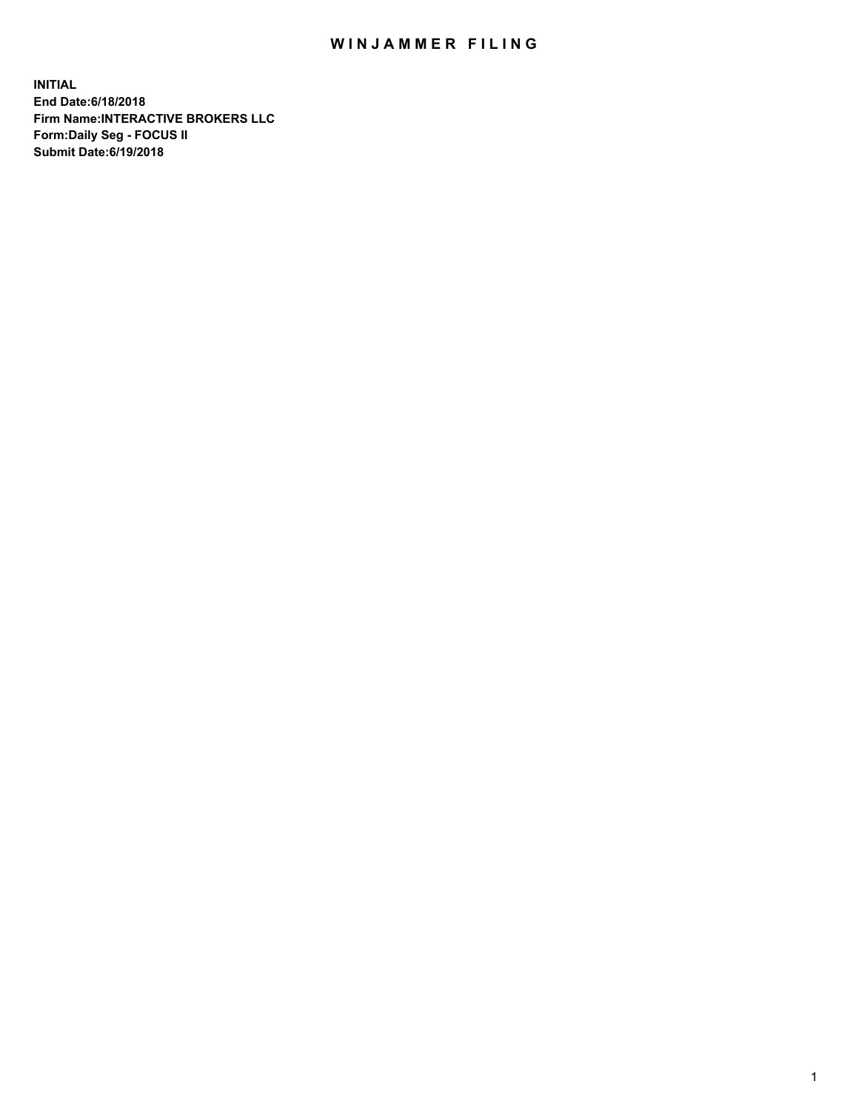## WIN JAMMER FILING

**INITIAL End Date:6/18/2018 Firm Name:INTERACTIVE BROKERS LLC Form:Daily Seg - FOCUS II Submit Date:6/19/2018**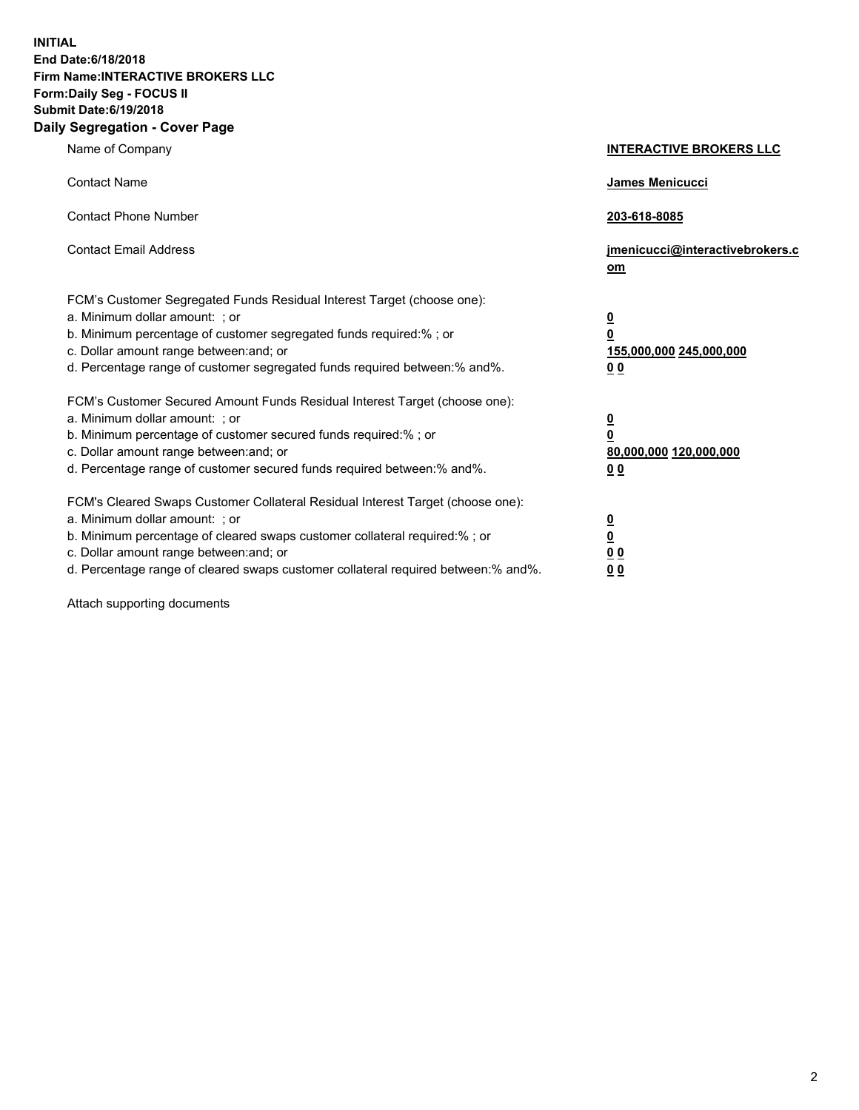**INITIAL End Date:6/18/2018 Firm Name:INTERACTIVE BROKERS LLC Form:Daily Seg - FOCUS II Submit Date:6/19/2018 Daily Segregation - Cover Page**

| Name of Company                                                                                                                                                                                                                                                                                                                | <b>INTERACTIVE BROKERS LLC</b>                                                                  |
|--------------------------------------------------------------------------------------------------------------------------------------------------------------------------------------------------------------------------------------------------------------------------------------------------------------------------------|-------------------------------------------------------------------------------------------------|
| <b>Contact Name</b>                                                                                                                                                                                                                                                                                                            | James Menicucci                                                                                 |
| <b>Contact Phone Number</b>                                                                                                                                                                                                                                                                                                    | 203-618-8085                                                                                    |
| <b>Contact Email Address</b>                                                                                                                                                                                                                                                                                                   | jmenicucci@interactivebrokers.c<br>om                                                           |
| FCM's Customer Segregated Funds Residual Interest Target (choose one):<br>a. Minimum dollar amount: ; or<br>b. Minimum percentage of customer segregated funds required:% ; or<br>c. Dollar amount range between: and; or<br>d. Percentage range of customer segregated funds required between:% and%.                         | $\overline{\mathbf{0}}$<br>$\overline{\mathbf{0}}$<br>155,000,000 245,000,000<br>0 <sub>0</sub> |
| FCM's Customer Secured Amount Funds Residual Interest Target (choose one):<br>a. Minimum dollar amount: ; or<br>b. Minimum percentage of customer secured funds required:% ; or<br>c. Dollar amount range between: and; or<br>d. Percentage range of customer secured funds required between:% and%.                           | $\overline{\mathbf{0}}$<br>0<br>80,000,000 120,000,000<br>0 <sub>0</sub>                        |
| FCM's Cleared Swaps Customer Collateral Residual Interest Target (choose one):<br>a. Minimum dollar amount: ; or<br>b. Minimum percentage of cleared swaps customer collateral required:% ; or<br>c. Dollar amount range between: and; or<br>d. Percentage range of cleared swaps customer collateral required between:% and%. | $\overline{\mathbf{0}}$<br><u>0</u><br>$\underline{0}$ $\underline{0}$<br>00                    |

Attach supporting documents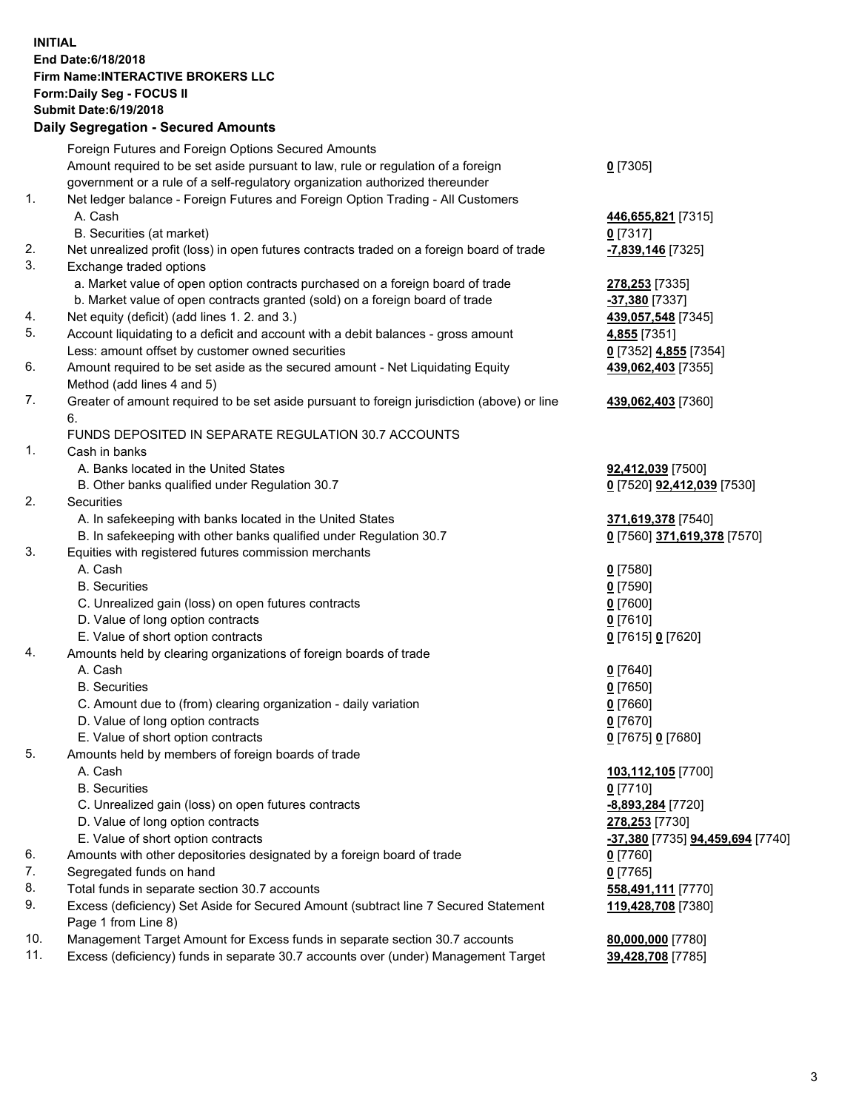## **INITIAL End Date:6/18/2018 Firm Name:INTERACTIVE BROKERS LLC Form:Daily Seg - FOCUS II Submit Date:6/19/2018 Daily Segregation - Secured Amounts**

| Foreign Futures and Foreign Options Secured Amounts                                 |                                                                                                                                                                                                                                                                                                                                                                                                                                                                                                                                                                                                                                                                                                                                                                                                                                                                                                                                                                                                                                                                                                                                                                                                                                                                                                                                                                                                                                                                                                                                                                                                                                                                                                                                                                                                                                            |
|-------------------------------------------------------------------------------------|--------------------------------------------------------------------------------------------------------------------------------------------------------------------------------------------------------------------------------------------------------------------------------------------------------------------------------------------------------------------------------------------------------------------------------------------------------------------------------------------------------------------------------------------------------------------------------------------------------------------------------------------------------------------------------------------------------------------------------------------------------------------------------------------------------------------------------------------------------------------------------------------------------------------------------------------------------------------------------------------------------------------------------------------------------------------------------------------------------------------------------------------------------------------------------------------------------------------------------------------------------------------------------------------------------------------------------------------------------------------------------------------------------------------------------------------------------------------------------------------------------------------------------------------------------------------------------------------------------------------------------------------------------------------------------------------------------------------------------------------------------------------------------------------------------------------------------------------|
| Amount required to be set aside pursuant to law, rule or regulation of a foreign    | $0$ [7305]                                                                                                                                                                                                                                                                                                                                                                                                                                                                                                                                                                                                                                                                                                                                                                                                                                                                                                                                                                                                                                                                                                                                                                                                                                                                                                                                                                                                                                                                                                                                                                                                                                                                                                                                                                                                                                 |
|                                                                                     |                                                                                                                                                                                                                                                                                                                                                                                                                                                                                                                                                                                                                                                                                                                                                                                                                                                                                                                                                                                                                                                                                                                                                                                                                                                                                                                                                                                                                                                                                                                                                                                                                                                                                                                                                                                                                                            |
|                                                                                     |                                                                                                                                                                                                                                                                                                                                                                                                                                                                                                                                                                                                                                                                                                                                                                                                                                                                                                                                                                                                                                                                                                                                                                                                                                                                                                                                                                                                                                                                                                                                                                                                                                                                                                                                                                                                                                            |
| A. Cash                                                                             | 446,655,821 [7315]                                                                                                                                                                                                                                                                                                                                                                                                                                                                                                                                                                                                                                                                                                                                                                                                                                                                                                                                                                                                                                                                                                                                                                                                                                                                                                                                                                                                                                                                                                                                                                                                                                                                                                                                                                                                                         |
|                                                                                     | $0$ [7317]                                                                                                                                                                                                                                                                                                                                                                                                                                                                                                                                                                                                                                                                                                                                                                                                                                                                                                                                                                                                                                                                                                                                                                                                                                                                                                                                                                                                                                                                                                                                                                                                                                                                                                                                                                                                                                 |
|                                                                                     | -7,839,146 [7325]                                                                                                                                                                                                                                                                                                                                                                                                                                                                                                                                                                                                                                                                                                                                                                                                                                                                                                                                                                                                                                                                                                                                                                                                                                                                                                                                                                                                                                                                                                                                                                                                                                                                                                                                                                                                                          |
|                                                                                     |                                                                                                                                                                                                                                                                                                                                                                                                                                                                                                                                                                                                                                                                                                                                                                                                                                                                                                                                                                                                                                                                                                                                                                                                                                                                                                                                                                                                                                                                                                                                                                                                                                                                                                                                                                                                                                            |
|                                                                                     | 278,253 [7335]                                                                                                                                                                                                                                                                                                                                                                                                                                                                                                                                                                                                                                                                                                                                                                                                                                                                                                                                                                                                                                                                                                                                                                                                                                                                                                                                                                                                                                                                                                                                                                                                                                                                                                                                                                                                                             |
|                                                                                     | -37,380 [7337]                                                                                                                                                                                                                                                                                                                                                                                                                                                                                                                                                                                                                                                                                                                                                                                                                                                                                                                                                                                                                                                                                                                                                                                                                                                                                                                                                                                                                                                                                                                                                                                                                                                                                                                                                                                                                             |
|                                                                                     | 439,057,548 [7345]                                                                                                                                                                                                                                                                                                                                                                                                                                                                                                                                                                                                                                                                                                                                                                                                                                                                                                                                                                                                                                                                                                                                                                                                                                                                                                                                                                                                                                                                                                                                                                                                                                                                                                                                                                                                                         |
|                                                                                     | 4,855 [7351]                                                                                                                                                                                                                                                                                                                                                                                                                                                                                                                                                                                                                                                                                                                                                                                                                                                                                                                                                                                                                                                                                                                                                                                                                                                                                                                                                                                                                                                                                                                                                                                                                                                                                                                                                                                                                               |
|                                                                                     | 0 [7352] 4,855 [7354]                                                                                                                                                                                                                                                                                                                                                                                                                                                                                                                                                                                                                                                                                                                                                                                                                                                                                                                                                                                                                                                                                                                                                                                                                                                                                                                                                                                                                                                                                                                                                                                                                                                                                                                                                                                                                      |
|                                                                                     | 439,062,403 [7355]                                                                                                                                                                                                                                                                                                                                                                                                                                                                                                                                                                                                                                                                                                                                                                                                                                                                                                                                                                                                                                                                                                                                                                                                                                                                                                                                                                                                                                                                                                                                                                                                                                                                                                                                                                                                                         |
|                                                                                     |                                                                                                                                                                                                                                                                                                                                                                                                                                                                                                                                                                                                                                                                                                                                                                                                                                                                                                                                                                                                                                                                                                                                                                                                                                                                                                                                                                                                                                                                                                                                                                                                                                                                                                                                                                                                                                            |
|                                                                                     | 439,062,403 [7360]                                                                                                                                                                                                                                                                                                                                                                                                                                                                                                                                                                                                                                                                                                                                                                                                                                                                                                                                                                                                                                                                                                                                                                                                                                                                                                                                                                                                                                                                                                                                                                                                                                                                                                                                                                                                                         |
|                                                                                     |                                                                                                                                                                                                                                                                                                                                                                                                                                                                                                                                                                                                                                                                                                                                                                                                                                                                                                                                                                                                                                                                                                                                                                                                                                                                                                                                                                                                                                                                                                                                                                                                                                                                                                                                                                                                                                            |
|                                                                                     |                                                                                                                                                                                                                                                                                                                                                                                                                                                                                                                                                                                                                                                                                                                                                                                                                                                                                                                                                                                                                                                                                                                                                                                                                                                                                                                                                                                                                                                                                                                                                                                                                                                                                                                                                                                                                                            |
|                                                                                     |                                                                                                                                                                                                                                                                                                                                                                                                                                                                                                                                                                                                                                                                                                                                                                                                                                                                                                                                                                                                                                                                                                                                                                                                                                                                                                                                                                                                                                                                                                                                                                                                                                                                                                                                                                                                                                            |
|                                                                                     | 92,412,039 [7500]                                                                                                                                                                                                                                                                                                                                                                                                                                                                                                                                                                                                                                                                                                                                                                                                                                                                                                                                                                                                                                                                                                                                                                                                                                                                                                                                                                                                                                                                                                                                                                                                                                                                                                                                                                                                                          |
|                                                                                     | 0 [7520] 92,412,039 [7530]                                                                                                                                                                                                                                                                                                                                                                                                                                                                                                                                                                                                                                                                                                                                                                                                                                                                                                                                                                                                                                                                                                                                                                                                                                                                                                                                                                                                                                                                                                                                                                                                                                                                                                                                                                                                                 |
|                                                                                     | 371,619,378 [7540]                                                                                                                                                                                                                                                                                                                                                                                                                                                                                                                                                                                                                                                                                                                                                                                                                                                                                                                                                                                                                                                                                                                                                                                                                                                                                                                                                                                                                                                                                                                                                                                                                                                                                                                                                                                                                         |
|                                                                                     | 0 [7560] 371,619,378 [7570]                                                                                                                                                                                                                                                                                                                                                                                                                                                                                                                                                                                                                                                                                                                                                                                                                                                                                                                                                                                                                                                                                                                                                                                                                                                                                                                                                                                                                                                                                                                                                                                                                                                                                                                                                                                                                |
|                                                                                     |                                                                                                                                                                                                                                                                                                                                                                                                                                                                                                                                                                                                                                                                                                                                                                                                                                                                                                                                                                                                                                                                                                                                                                                                                                                                                                                                                                                                                                                                                                                                                                                                                                                                                                                                                                                                                                            |
|                                                                                     | $0$ [7580]                                                                                                                                                                                                                                                                                                                                                                                                                                                                                                                                                                                                                                                                                                                                                                                                                                                                                                                                                                                                                                                                                                                                                                                                                                                                                                                                                                                                                                                                                                                                                                                                                                                                                                                                                                                                                                 |
|                                                                                     | $0$ [7590]                                                                                                                                                                                                                                                                                                                                                                                                                                                                                                                                                                                                                                                                                                                                                                                                                                                                                                                                                                                                                                                                                                                                                                                                                                                                                                                                                                                                                                                                                                                                                                                                                                                                                                                                                                                                                                 |
|                                                                                     | $0$ [7600]                                                                                                                                                                                                                                                                                                                                                                                                                                                                                                                                                                                                                                                                                                                                                                                                                                                                                                                                                                                                                                                                                                                                                                                                                                                                                                                                                                                                                                                                                                                                                                                                                                                                                                                                                                                                                                 |
|                                                                                     | $0$ [7610]                                                                                                                                                                                                                                                                                                                                                                                                                                                                                                                                                                                                                                                                                                                                                                                                                                                                                                                                                                                                                                                                                                                                                                                                                                                                                                                                                                                                                                                                                                                                                                                                                                                                                                                                                                                                                                 |
|                                                                                     | 0 [7615] 0 [7620]                                                                                                                                                                                                                                                                                                                                                                                                                                                                                                                                                                                                                                                                                                                                                                                                                                                                                                                                                                                                                                                                                                                                                                                                                                                                                                                                                                                                                                                                                                                                                                                                                                                                                                                                                                                                                          |
|                                                                                     |                                                                                                                                                                                                                                                                                                                                                                                                                                                                                                                                                                                                                                                                                                                                                                                                                                                                                                                                                                                                                                                                                                                                                                                                                                                                                                                                                                                                                                                                                                                                                                                                                                                                                                                                                                                                                                            |
| A. Cash                                                                             | $0$ [7640]                                                                                                                                                                                                                                                                                                                                                                                                                                                                                                                                                                                                                                                                                                                                                                                                                                                                                                                                                                                                                                                                                                                                                                                                                                                                                                                                                                                                                                                                                                                                                                                                                                                                                                                                                                                                                                 |
| <b>B.</b> Securities                                                                | $0$ [7650]                                                                                                                                                                                                                                                                                                                                                                                                                                                                                                                                                                                                                                                                                                                                                                                                                                                                                                                                                                                                                                                                                                                                                                                                                                                                                                                                                                                                                                                                                                                                                                                                                                                                                                                                                                                                                                 |
|                                                                                     | $0$ [7660]                                                                                                                                                                                                                                                                                                                                                                                                                                                                                                                                                                                                                                                                                                                                                                                                                                                                                                                                                                                                                                                                                                                                                                                                                                                                                                                                                                                                                                                                                                                                                                                                                                                                                                                                                                                                                                 |
| D. Value of long option contracts                                                   | $0$ [7670]                                                                                                                                                                                                                                                                                                                                                                                                                                                                                                                                                                                                                                                                                                                                                                                                                                                                                                                                                                                                                                                                                                                                                                                                                                                                                                                                                                                                                                                                                                                                                                                                                                                                                                                                                                                                                                 |
| E. Value of short option contracts                                                  | 0 [7675] 0 [7680]                                                                                                                                                                                                                                                                                                                                                                                                                                                                                                                                                                                                                                                                                                                                                                                                                                                                                                                                                                                                                                                                                                                                                                                                                                                                                                                                                                                                                                                                                                                                                                                                                                                                                                                                                                                                                          |
| Amounts held by members of foreign boards of trade                                  |                                                                                                                                                                                                                                                                                                                                                                                                                                                                                                                                                                                                                                                                                                                                                                                                                                                                                                                                                                                                                                                                                                                                                                                                                                                                                                                                                                                                                                                                                                                                                                                                                                                                                                                                                                                                                                            |
| A. Cash                                                                             | 103,112,105 [7700]                                                                                                                                                                                                                                                                                                                                                                                                                                                                                                                                                                                                                                                                                                                                                                                                                                                                                                                                                                                                                                                                                                                                                                                                                                                                                                                                                                                                                                                                                                                                                                                                                                                                                                                                                                                                                         |
| <b>B.</b> Securities                                                                | $0$ [7710]                                                                                                                                                                                                                                                                                                                                                                                                                                                                                                                                                                                                                                                                                                                                                                                                                                                                                                                                                                                                                                                                                                                                                                                                                                                                                                                                                                                                                                                                                                                                                                                                                                                                                                                                                                                                                                 |
| C. Unrealized gain (loss) on open futures contracts                                 | -8,893,284 [7720]                                                                                                                                                                                                                                                                                                                                                                                                                                                                                                                                                                                                                                                                                                                                                                                                                                                                                                                                                                                                                                                                                                                                                                                                                                                                                                                                                                                                                                                                                                                                                                                                                                                                                                                                                                                                                          |
| D. Value of long option contracts                                                   | 278,253 [7730]                                                                                                                                                                                                                                                                                                                                                                                                                                                                                                                                                                                                                                                                                                                                                                                                                                                                                                                                                                                                                                                                                                                                                                                                                                                                                                                                                                                                                                                                                                                                                                                                                                                                                                                                                                                                                             |
| E. Value of short option contracts                                                  | <u>-37,380</u> [7735] <u>94,459,694</u> [7740]                                                                                                                                                                                                                                                                                                                                                                                                                                                                                                                                                                                                                                                                                                                                                                                                                                                                                                                                                                                                                                                                                                                                                                                                                                                                                                                                                                                                                                                                                                                                                                                                                                                                                                                                                                                             |
| Amounts with other depositories designated by a foreign board of trade              | 0 [7760]                                                                                                                                                                                                                                                                                                                                                                                                                                                                                                                                                                                                                                                                                                                                                                                                                                                                                                                                                                                                                                                                                                                                                                                                                                                                                                                                                                                                                                                                                                                                                                                                                                                                                                                                                                                                                                   |
| Segregated funds on hand                                                            | $0$ [7765]                                                                                                                                                                                                                                                                                                                                                                                                                                                                                                                                                                                                                                                                                                                                                                                                                                                                                                                                                                                                                                                                                                                                                                                                                                                                                                                                                                                                                                                                                                                                                                                                                                                                                                                                                                                                                                 |
| Total funds in separate section 30.7 accounts                                       | 558,491,111 [7770]                                                                                                                                                                                                                                                                                                                                                                                                                                                                                                                                                                                                                                                                                                                                                                                                                                                                                                                                                                                                                                                                                                                                                                                                                                                                                                                                                                                                                                                                                                                                                                                                                                                                                                                                                                                                                         |
| Excess (deficiency) Set Aside for Secured Amount (subtract line 7 Secured Statement | 119,428,708 [7380]                                                                                                                                                                                                                                                                                                                                                                                                                                                                                                                                                                                                                                                                                                                                                                                                                                                                                                                                                                                                                                                                                                                                                                                                                                                                                                                                                                                                                                                                                                                                                                                                                                                                                                                                                                                                                         |
|                                                                                     |                                                                                                                                                                                                                                                                                                                                                                                                                                                                                                                                                                                                                                                                                                                                                                                                                                                                                                                                                                                                                                                                                                                                                                                                                                                                                                                                                                                                                                                                                                                                                                                                                                                                                                                                                                                                                                            |
|                                                                                     | 80,000,000 [7780]                                                                                                                                                                                                                                                                                                                                                                                                                                                                                                                                                                                                                                                                                                                                                                                                                                                                                                                                                                                                                                                                                                                                                                                                                                                                                                                                                                                                                                                                                                                                                                                                                                                                                                                                                                                                                          |
|                                                                                     | 39,428,708 [7785]                                                                                                                                                                                                                                                                                                                                                                                                                                                                                                                                                                                                                                                                                                                                                                                                                                                                                                                                                                                                                                                                                                                                                                                                                                                                                                                                                                                                                                                                                                                                                                                                                                                                                                                                                                                                                          |
|                                                                                     | Dany Segregation - Secured Announts<br>government or a rule of a self-regulatory organization authorized thereunder<br>Net ledger balance - Foreign Futures and Foreign Option Trading - All Customers<br>B. Securities (at market)<br>Net unrealized profit (loss) in open futures contracts traded on a foreign board of trade<br>Exchange traded options<br>a. Market value of open option contracts purchased on a foreign board of trade<br>b. Market value of open contracts granted (sold) on a foreign board of trade<br>Net equity (deficit) (add lines 1. 2. and 3.)<br>Account liquidating to a deficit and account with a debit balances - gross amount<br>Less: amount offset by customer owned securities<br>Amount required to be set aside as the secured amount - Net Liquidating Equity<br>Method (add lines 4 and 5)<br>Greater of amount required to be set aside pursuant to foreign jurisdiction (above) or line<br>6.<br>FUNDS DEPOSITED IN SEPARATE REGULATION 30.7 ACCOUNTS<br>Cash in banks<br>A. Banks located in the United States<br>B. Other banks qualified under Regulation 30.7<br><b>Securities</b><br>A. In safekeeping with banks located in the United States<br>B. In safekeeping with other banks qualified under Regulation 30.7<br>Equities with registered futures commission merchants<br>A. Cash<br><b>B.</b> Securities<br>C. Unrealized gain (loss) on open futures contracts<br>D. Value of long option contracts<br>E. Value of short option contracts<br>Amounts held by clearing organizations of foreign boards of trade<br>C. Amount due to (from) clearing organization - daily variation<br>Page 1 from Line 8)<br>Management Target Amount for Excess funds in separate section 30.7 accounts<br>Excess (deficiency) funds in separate 30.7 accounts over (under) Management Target |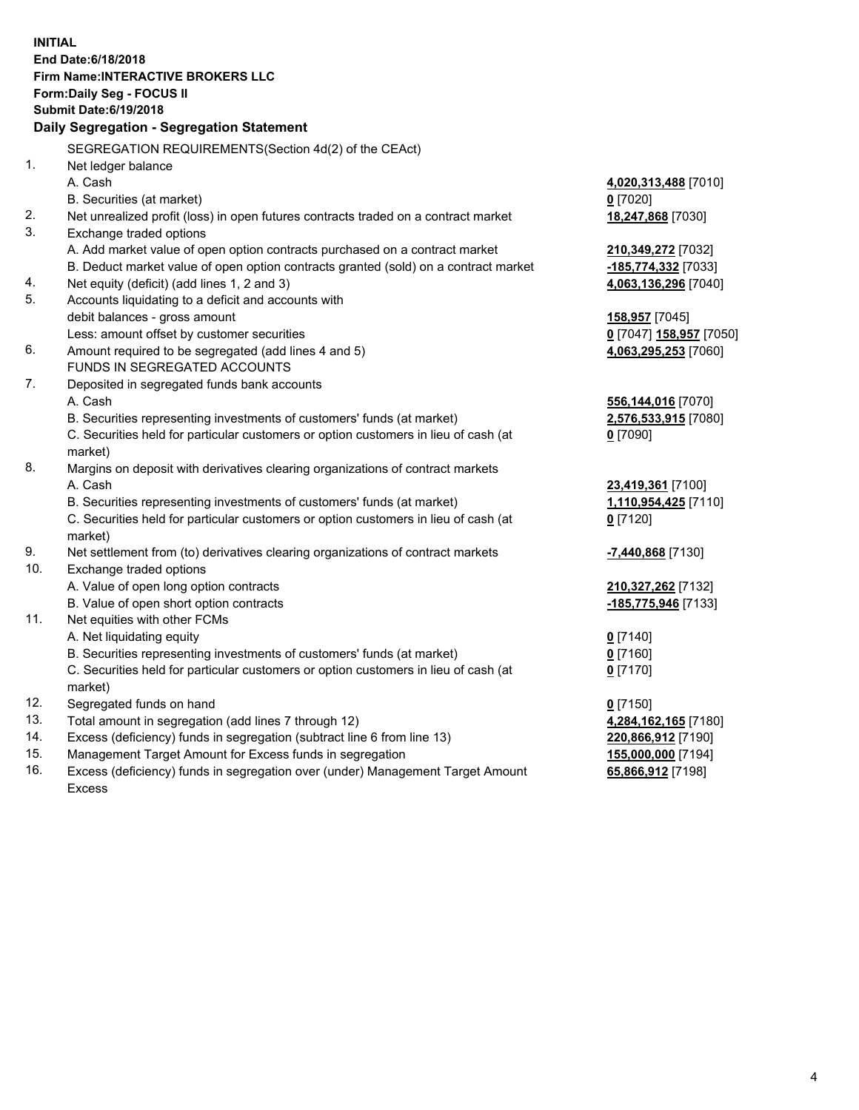**INITIAL End Date:6/18/2018 Firm Name:INTERACTIVE BROKERS LLC Form:Daily Seg - FOCUS II Submit Date:6/19/2018 Daily Segregation - Segregation Statement** SEGREGATION REQUIREMENTS(Section 4d(2) of the CEAct) 1. Net ledger balance A. Cash **4,020,313,488** [7010] B. Securities (at market) **0** [7020] 2. Net unrealized profit (loss) in open futures contracts traded on a contract market **18,247,868** [7030] 3. Exchange traded options A. Add market value of open option contracts purchased on a contract market **210,349,272** [7032] B. Deduct market value of open option contracts granted (sold) on a contract market **-185,774,332** [7033] 4. Net equity (deficit) (add lines 1, 2 and 3) **4,063,136,296** [7040] 5. Accounts liquidating to a deficit and accounts with debit balances - gross amount **158,957** [7045] Less: amount offset by customer securities **0** [7047] **158,957** [7050] 6. Amount required to be segregated (add lines 4 and 5) **4,063,295,253** [7060] FUNDS IN SEGREGATED ACCOUNTS 7. Deposited in segregated funds bank accounts A. Cash **556,144,016** [7070] B. Securities representing investments of customers' funds (at market) **2,576,533,915** [7080] C. Securities held for particular customers or option customers in lieu of cash (at market) **0** [7090] 8. Margins on deposit with derivatives clearing organizations of contract markets A. Cash **23,419,361** [7100] B. Securities representing investments of customers' funds (at market) **1,110,954,425** [7110] C. Securities held for particular customers or option customers in lieu of cash (at market) **0** [7120] 9. Net settlement from (to) derivatives clearing organizations of contract markets **-7,440,868** [7130] 10. Exchange traded options A. Value of open long option contracts **210,327,262** [7132] B. Value of open short option contracts **-185,775,946** [7133] 11. Net equities with other FCMs A. Net liquidating equity **0** [7140] B. Securities representing investments of customers' funds (at market) **0** [7160] C. Securities held for particular customers or option customers in lieu of cash (at market) **0** [7170] 12. Segregated funds on hand **0** [7150] 13. Total amount in segregation (add lines 7 through 12) **4,284,162,165** [7180] 14. Excess (deficiency) funds in segregation (subtract line 6 from line 13) **220,866,912** [7190] 15. Management Target Amount for Excess funds in segregation **155,000,000** [7194] **65,866,912** [7198]

16. Excess (deficiency) funds in segregation over (under) Management Target Amount Excess